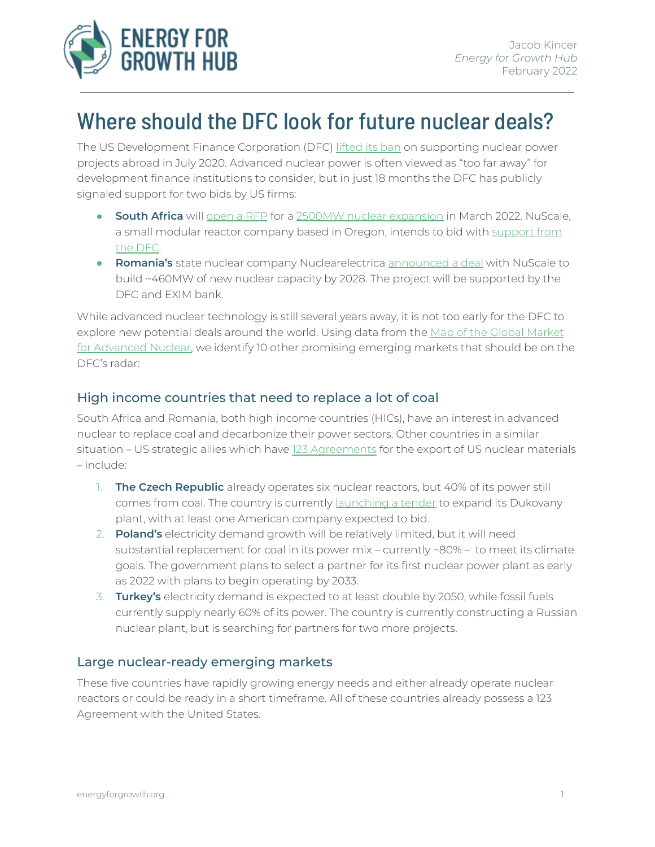

## Where should the DFC look for future nuclear deals?

The US Development Finance Corporation (DFC) [lifted](https://www.dfc.gov/media/press-releases/dfc-modernizes-nuclear-energy-policy) its ban on supporting nuclear power projects abroad in July 2020. Advanced nuclear power is often viewed as "too far away" for development finance institutions to consider, but in just 18 months the DFC has publicly signaled support for two bids by US firms:

- **South Africa** will [open](https://www.reuters.com/world/africa/safrica-plans-next-phase-new-2500-mw-nuclear-plant-2021-09-21/) a RFP for a 2500MW nuclear [expansion](http://www.energy.gov.za/files/tenders/2020/nuclear-rfi/RFI-Nuclear-New-Build-Power-Procurement-Programme.pdf) in March 2022. NuScale, a small modular reactor company based in Oregon, intends to bid with [support](https://www.businessinsider.co.za/nuscale-nuclear-which-has-plans-for-sa-gets-a-big-us-subsidy-to-test-its-design-2020-10) from the [DFC.](https://www.businessinsider.co.za/nuscale-nuclear-which-has-plans-for-sa-gets-a-big-us-subsidy-to-test-its-design-2020-10)
- **Romania's** state nuclear company Nuclearelectrica [announced](https://www.state.gov/special-presidential-envoy-for-climate-john-kerry-and-romanian-president-klaus-iohannis-announce-romanias-intent-to-build-first-of-a-kind-u-s-small-modular-reactor-to-address-the-climat/) a deal with NuScale to build ~460MW of new nuclear capacity by 2028. The project will be supported by the DFC and EXIM bank.

While advanced nuclear technology is still several years away, it is not too early for the DFC to explore new potential deals around the world. Using data from the Map of the Global [Market](https://www.thirdway.org/memo/2021-update-map-of-the-global-market-for-advanced-nuclear) for [Advanced](https://www.thirdway.org/memo/2021-update-map-of-the-global-market-for-advanced-nuclear) Nuclear, we identify 10 other promising emerging markets that should be on the DFC's radar:

## High income countries that need to replace a lot of coal

South Africa and Romania, both high income countries (HICs), have an interest in advanced nuclear to replace coal and decarbonize their power sectors. Other countries in a similar situation – US strategic allies which have 123 [Agreements](https://www.energy.gov/nnsa/123-agreements-peaceful-cooperation) for the export of US nuclear materials – include:

- 1. **The Czech Republic** already operates six nuclear reactors, but 40% of its power still comes from coal. The country is currently [launching](https://www.reuters.com/business/energy/czech-nuclear-tender-could-be-launched-by-end-2021-says-minister-2021-08-22/) a tender to expand its Dukovany plant, with at least one American company expected to bid.
- 2. **Poland's** electricity demand growth will be relatively limited, but it will need substantial replacement for coal in its power mix – currently ~80% – to meet its climate goals. The government plans to select a partner for its first nuclear power plant as early as 2022 with plans to begin operating by 2033.
- 3. **Turkey's** electricity demand is expected to at least double by 2050, while fossil fuels currently supply nearly 60% of its power. The country is currently constructing a Russian nuclear plant, but is searching for partners for two more projects.

## Large nuclear-ready emerging markets

These five countries have rapidly growing energy needs and either already operate nuclear reactors or could be ready in a short timeframe. All of these countries already possess a 123 Agreement with the United States.